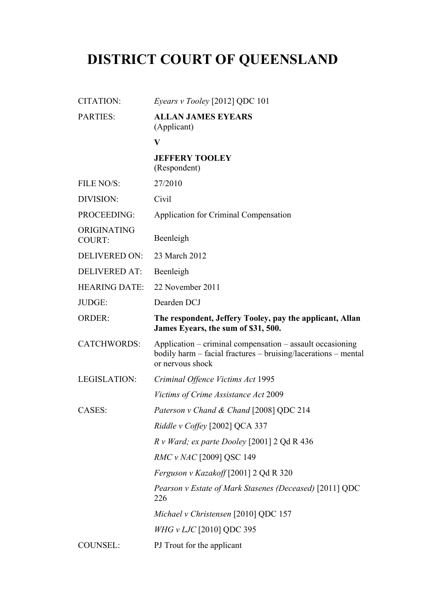# **DISTRICT COURT OF QUEENSLAND**

| <b>CITATION:</b>             | Eyears v Tooley [2012] QDC 101                                                                                                                  |
|------------------------------|-------------------------------------------------------------------------------------------------------------------------------------------------|
| <b>PARTIES:</b>              | <b>ALLAN JAMES EYEARS</b><br>(Applicant)                                                                                                        |
|                              | V                                                                                                                                               |
|                              | <b>JEFFERY TOOLEY</b><br>(Respondent)                                                                                                           |
| FILE NO/S:                   | 27/2010                                                                                                                                         |
| DIVISION:                    | Civil                                                                                                                                           |
| PROCEEDING:                  | Application for Criminal Compensation                                                                                                           |
| ORIGINATING<br><b>COURT:</b> | Beenleigh                                                                                                                                       |
| <b>DELIVERED ON:</b>         | 23 March 2012                                                                                                                                   |
| <b>DELIVERED AT:</b>         | Beenleigh                                                                                                                                       |
| <b>HEARING DATE:</b>         | 22 November 2011                                                                                                                                |
| JUDGE:                       | Dearden DCJ                                                                                                                                     |
| <b>ORDER:</b>                | The respondent, Jeffery Tooley, pay the applicant, Allan<br>James Eyears, the sum of \$31, 500.                                                 |
| <b>CATCHWORDS:</b>           | Application – criminal compensation – assault occasioning<br>bodily harm – facial fractures – bruising/lacerations – mental<br>or nervous shock |
| <b>LEGISLATION:</b>          | Criminal Offence Victims Act 1995                                                                                                               |
|                              | <i>Victims of Crime Assistance Act 2009</i>                                                                                                     |
| CASES:                       | Paterson v Chand & Chand [2008] QDC 214                                                                                                         |
|                              | Riddle v Coffey [2002] QCA 337                                                                                                                  |
|                              | $R \text{ v } Ward$ ; ex parte Dooley [2001] 2 Qd R 436                                                                                         |
|                              | <i>RMC v NAC</i> [2009] QSC 149                                                                                                                 |
|                              | Ferguson v Kazakoff [2001] 2 Qd R 320                                                                                                           |
|                              | Pearson v Estate of Mark Stasenes (Deceased) [2011] QDC<br>226                                                                                  |
|                              | Michael v Christensen [2010] QDC 157                                                                                                            |
|                              | WHG v LJC [2010] QDC 395                                                                                                                        |
| <b>COUNSEL:</b>              | PJ Trout for the applicant                                                                                                                      |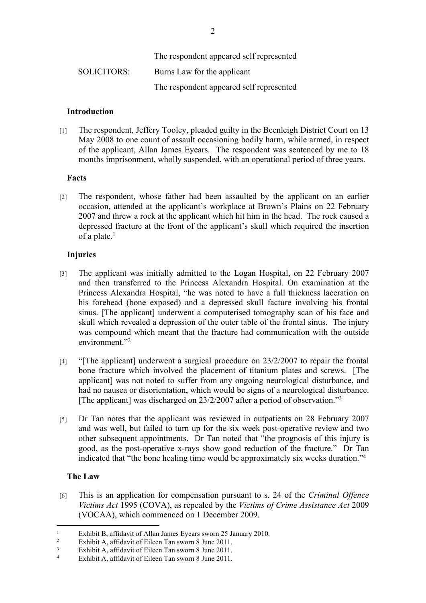|             | The respondent appeared self represented |
|-------------|------------------------------------------|
| SOLICITORS: | Burns Law for the applicant              |
|             | The respondent appeared self represented |

#### **Introduction**

[1] The respondent, Jeffery Tooley, pleaded guilty in the Beenleigh District Court on 13 May 2008 to one count of assault occasioning bodily harm, while armed, in respect of the applicant, Allan James Eyears. The respondent was sentenced by me to 18 months imprisonment, wholly suspended, with an operational period of three years.

#### **Facts**

[2] The respondent, whose father had been assaulted by the applicant on an earlier occasion, attended at the applicant's workplace at Brown's Plains on 22 February 2007 and threw a rock at the applicant which hit him in the head. The rock caused a depressed fracture at the front of the applicant's skull which required the insertion of a plate.<sup>1</sup>

#### **Injuries**

- [3] The applicant was initially admitted to the Logan Hospital, on 22 February 2007 and then transferred to the Princess Alexandra Hospital. On examination at the Princess Alexandra Hospital, "he was noted to have a full thickness laceration on his forehead (bone exposed) and a depressed skull facture involving his frontal sinus. [The applicant] underwent a computerised tomography scan of his face and skull which revealed a depression of the outer table of the frontal sinus. The injury was compound which meant that the fracture had communication with the outside environment<sup>"2</sup>
- [4] "[The applicant] underwent a surgical procedure on 23/2/2007 to repair the frontal bone fracture which involved the placement of titanium plates and screws. [The applicant] was not noted to suffer from any ongoing neurological disturbance, and had no nausea or disorientation, which would be signs of a neurological disturbance. [The applicant] was discharged on 23/2/2007 after a period of observation."<sup>3</sup>
- [5] Dr Tan notes that the applicant was reviewed in outpatients on 28 February 2007 and was well, but failed to turn up for the six week post-operative review and two other subsequent appointments. Dr Tan noted that "the prognosis of this injury is good, as the post-operative x-rays show good reduction of the fracture." Dr Tan indicated that "the bone healing time would be approximately six weeks duration."<sup>4</sup>

## **The Law**

[6] This is an application for compensation pursuant to s. 24 of the *Criminal Offence Victims Act* 1995 (COVA), as repealed by the *Victims of Crime Assistance Act* 2009 (VOCAA), which commenced on 1 December 2009.

<sup>1</sup> Exhibit B, affidavit of Allan James Eyears sworn 25 January 2010.

<sup>2</sup> Exhibit A, affidavit of Eileen Tan sworn 8 June 2011.

<sup>3</sup> Exhibit A, affidavit of Eileen Tan sworn 8 June 2011.

<sup>4</sup> Exhibit A, affidavit of Eileen Tan sworn 8 June 2011.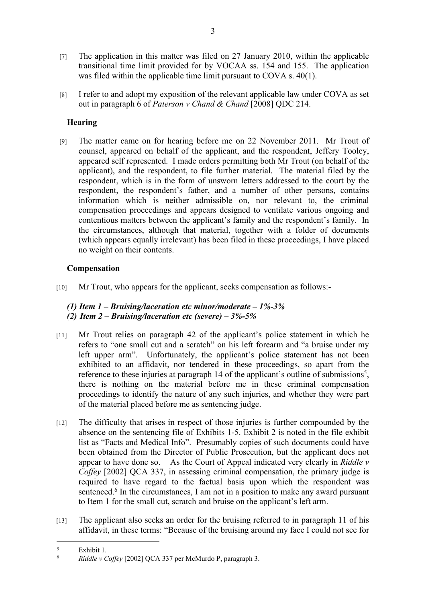- [7] The application in this matter was filed on 27 January 2010, within the applicable transitional time limit provided for by VOCAA ss. 154 and 155. The application was filed within the applicable time limit pursuant to COVA s. 40(1).
- [8] I refer to and adopt my exposition of the relevant applicable law under COVA as set out in paragraph 6 of *Paterson v Chand & Chand* [2008] QDC 214.

# **Hearing**

[9] The matter came on for hearing before me on 22 November 2011. Mr Trout of counsel, appeared on behalf of the applicant, and the respondent, Jeffery Tooley, appeared self represented. I made orders permitting both Mr Trout (on behalf of the applicant), and the respondent, to file further material. The material filed by the respondent, which is in the form of unsworn letters addressed to the court by the respondent, the respondent's father, and a number of other persons, contains information which is neither admissible on, nor relevant to, the criminal compensation proceedings and appears designed to ventilate various ongoing and contentious matters between the applicant's family and the respondent's family. In the circumstances, although that material, together with a folder of documents (which appears equally irrelevant) has been filed in these proceedings, I have placed no weight on their contents.

## **Compensation**

[10] Mr Trout, who appears for the applicant, seeks compensation as follows:-

## *(1) Item 1 – Bruising/laceration etc minor/moderate – 1%-3% (2) Item 2 – Bruising/laceration etc (severe) – 3%-5%*

- [11] Mr Trout relies on paragraph 42 of the applicant's police statement in which he refers to "one small cut and a scratch" on his left forearm and "a bruise under my left upper arm". Unfortunately, the applicant's police statement has not been exhibited to an affidavit, nor tendered in these proceedings, so apart from the reference to these injuries at paragraph 14 of the applicant's outline of submissions<sup>5</sup>, there is nothing on the material before me in these criminal compensation proceedings to identify the nature of any such injuries, and whether they were part of the material placed before me as sentencing judge.
- [12] The difficulty that arises in respect of those injuries is further compounded by the absence on the sentencing file of Exhibits 1-5. Exhibit 2 is noted in the file exhibit list as "Facts and Medical Info". Presumably copies of such documents could have been obtained from the Director of Public Prosecution, but the applicant does not appear to have done so. As the Court of Appeal indicated very clearly in *Riddle v Coffey* [2002] OCA 337, in assessing criminal compensation, the primary judge is required to have regard to the factual basis upon which the respondent was sentenced.<sup>6</sup> In the circumstances, I am not in a position to make any award pursuant to Item 1 for the small cut, scratch and bruise on the applicant's left arm.
- [13] The applicant also seeks an order for the bruising referred to in paragraph 11 of his affidavit, in these terms: "Because of the bruising around my face I could not see for

<sup>5</sup>  $rac{5}{6}$  Exhibit 1.

<sup>6</sup> *Riddle v Coffey* [2002] QCA 337 per McMurdo P, paragraph 3.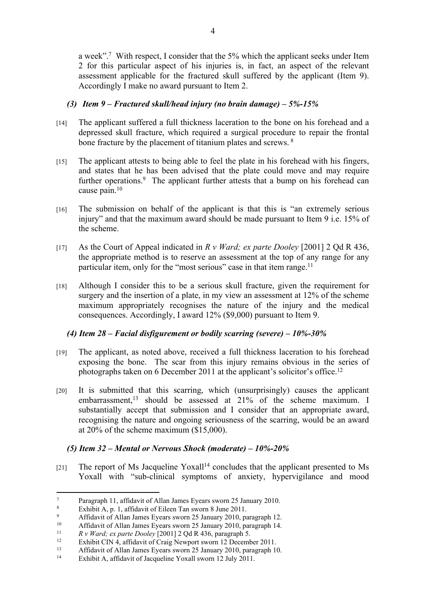a week".<sup>7</sup> With respect, I consider that the 5% which the applicant seeks under Item 2 for this particular aspect of his injuries is, in fact, an aspect of the relevant assessment applicable for the fractured skull suffered by the applicant (Item 9). Accordingly I make no award pursuant to Item 2.

## *(3) Item 9 – Fractured skull/head injury (no brain damage) – 5%-15%*

- [14] The applicant suffered a full thickness laceration to the bone on his forehead and a depressed skull fracture, which required a surgical procedure to repair the frontal bone fracture by the placement of titanium plates and screws. <sup>8</sup>
- [15] The applicant attests to being able to feel the plate in his forehead with his fingers, and states that he has been advised that the plate could move and may require further operations.<sup>9</sup> The applicant further attests that a bump on his forehead can cause pain.<sup>10</sup>
- [16] The submission on behalf of the applicant is that this is "an extremely serious injury" and that the maximum award should be made pursuant to Item 9 i.e. 15% of the scheme.
- [17] As the Court of Appeal indicated in *R v Ward; ex parte Dooley* [2001] 2 Qd R 436, the appropriate method is to reserve an assessment at the top of any range for any particular item, only for the "most serious" case in that item range.<sup>11</sup>
- [18] Although I consider this to be a serious skull fracture, given the requirement for surgery and the insertion of a plate, in my view an assessment at 12% of the scheme maximum appropriately recognises the nature of the injury and the medical consequences. Accordingly, I award 12% (\$9,000) pursuant to Item 9.

## *(4) Item 28 – Facial disfigurement or bodily scarring (severe) – 10%-30%*

- [19] The applicant, as noted above, received a full thickness laceration to his forehead exposing the bone. The scar from this injury remains obvious in the series of photographs taken on 6 December 2011 at the applicant's solicitor's office.<sup>12</sup>
- [20] It is submitted that this scarring, which (unsurprisingly) causes the applicant embarrassment,<sup>13</sup> should be assessed at 21% of the scheme maximum. I substantially accept that submission and I consider that an appropriate award, recognising the nature and ongoing seriousness of the scarring, would be an award at 20% of the scheme maximum (\$15,000).

# *(5) Item 32 – Mental or Nervous Shock (moderate) – 10%-20%*

 $[21]$  The report of Ms Jacqueline Yoxall<sup>14</sup> concludes that the applicant presented to Ms Yoxall with "sub-clinical symptoms of anxiety, hypervigilance and mood

<sup>7</sup> Paragraph 11, affidavit of Allan James Eyears sworn 25 January 2010.

<sup>8</sup> Exhibit A, p. 1, affidavit of Eileen Tan sworn 8 June 2011.

 $\alpha$ Affidavit of Allan James Eyears sworn 25 January 2010, paragraph 12.

<sup>&</sup>lt;sup>10</sup> Affidavit of Allan James Eyears sworn 25 January 2010, paragraph 14.

<sup>11</sup> *R v Ward; ex parte Dooley* [2001] 2 Qd R 436, paragraph 5.

<sup>&</sup>lt;sup>12</sup> Exhibit CIN 4, affidavit of Craig Newport sworn 12 December 2011.

<sup>13</sup> Affidavit of Allan James Eyears sworn 25 January 2010, paragraph 10.<br>14 Eykibit A offidavit of Jacqueline Yoyell sworn 12 July 2011

Exhibit A, affidavit of Jacqueline Yoxall sworn 12 July 2011.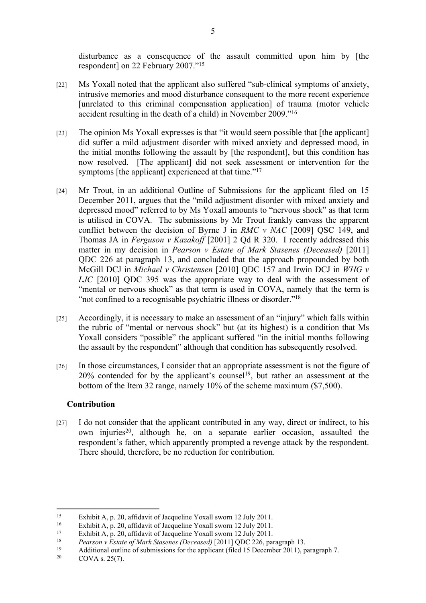disturbance as a consequence of the assault committed upon him by [the respondent] on 22 February 2007."<sup>15</sup>

- [22] Ms Yoxall noted that the applicant also suffered "sub-clinical symptoms of anxiety, intrusive memories and mood disturbance consequent to the more recent experience [unrelated to this criminal compensation application] of trauma (motor vehicle accident resulting in the death of a child) in November 2009."<sup>16</sup>
- [23] The opinion Ms Yoxall expresses is that "it would seem possible that [the applicant] did suffer a mild adjustment disorder with mixed anxiety and depressed mood, in the initial months following the assault by [the respondent], but this condition has now resolved. [The applicant] did not seek assessment or intervention for the symptoms [the applicant] experienced at that time."<sup>17</sup>
- [24] Mr Trout, in an additional Outline of Submissions for the applicant filed on 15 December 2011, argues that the "mild adjustment disorder with mixed anxiety and depressed mood" referred to by Ms Yoxall amounts to "nervous shock" as that term is utilised in COVA. The submissions by Mr Trout frankly canvass the apparent conflict between the decision of Byrne J in *RMC v NAC* [2009] QSC 149, and Thomas JA in *Ferguson v Kazakoff* [2001] 2 Qd R 320. I recently addressed this matter in my decision in *Pearson v Estate of Mark Stasenes (Deceased)* [2011] QDC 226 at paragraph 13, and concluded that the approach propounded by both McGill DCJ in *Michael v Christensen* [2010] QDC 157 and Irwin DCJ in *WHG v LJC* [2010] QDC 395 was the appropriate way to deal with the assessment of "mental or nervous shock" as that term is used in COVA, namely that the term is "not confined to a recognisable psychiatric illness or disorder."<sup>18</sup>
- [25] Accordingly, it is necessary to make an assessment of an "injury" which falls within the rubric of "mental or nervous shock" but (at its highest) is a condition that Ms Yoxall considers "possible" the applicant suffered "in the initial months following the assault by the respondent" although that condition has subsequently resolved.
- [26] In those circumstances, I consider that an appropriate assessment is not the figure of 20% contended for by the applicant's counsel<sup>19</sup>, but rather an assessment at the bottom of the Item 32 range, namely 10% of the scheme maximum (\$7,500).

#### **Contribution**

[27] I do not consider that the applicant contributed in any way, direct or indirect, to his own injuries<sup>20</sup>, although he, on a separate earlier occasion, assaulted the respondent's father, which apparently prompted a revenge attack by the respondent. There should, therefore, be no reduction for contribution.

<sup>&</sup>lt;sup>15</sup> Exhibit A, p. 20, affidavit of Jacqueline Yoxall sworn 12 July 2011.

<sup>&</sup>lt;sup>16</sup> Exhibit A, p. 20, affidavit of Jacqueline Yoxall sworn 12 July 2011.<br><sup>17</sup> Exhibit A, p. 20, affidavit of Jacqueline Yoxall sworn 12 July 2011.

<sup>&</sup>lt;sup>17</sup> Exhibit A, p. 20, affidavit of Jacqueline Yoxall sworn 12 July 2011.

<sup>18</sup> *Pearson v Estate of Mark Stasenes (Deceased)* [2011] QDC 226, paragraph 13.

<sup>19</sup> Additional outline of submissions for the applicant (filed 15 December 2011), paragraph 7.<br>  $CONA \times 25(7)$ 

COVA s.  $25(7)$ .